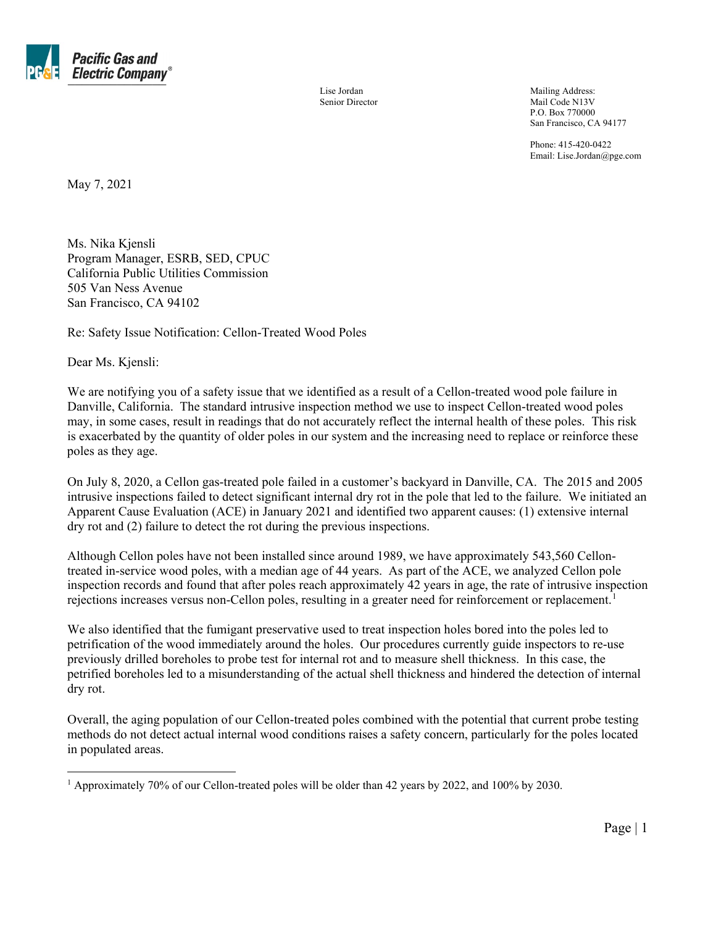

Senior Director Mail Code N13V P.O. Box 770000 San Francisco, CA 94177

> Phone: 415-420-0422 Email: Lise.Jordan@pge.com

May 7, 2021

Ms. Nika Kjensli Program Manager, ESRB, SED, CPUC California Public Utilities Commission 505 Van Ness Avenue San Francisco, CA 94102

Re: Safety Issue Notification: Cellon-Treated Wood Poles

Dear Ms. Kjensli:

We are notifying you of a safety issue that we identified as a result of a Cellon-treated wood pole failure in Danville, California. The standard intrusive inspection method we use to inspect Cellon-treated wood poles may, in some cases, result in readings that do not accurately reflect the internal health of these poles. This risk is exacerbated by the quantity of older poles in our system and the increasing need to replace or reinforce these poles as they age.

On July 8, 2020, a Cellon gas-treated pole failed in a customer's backyard in Danville, CA. The 2015 and 2005 intrusive inspections failed to detect significant internal dry rot in the pole that led to the failure. We initiated an Apparent Cause Evaluation (ACE) in January 2021 and identified two apparent causes: (1) extensive internal dry rot and (2) failure to detect the rot during the previous inspections.

Although Cellon poles have not been installed since around 1989, we have approximately 543,560 Cellontreated in-service wood poles, with a median age of 44 years. As part of the ACE, we analyzed Cellon pole inspection records and found that after poles reach approximately 42 years in age, the rate of intrusive inspection rejections increases versus non-Cellon poles, resulting in a greater need for reinforcement or replacement.<sup>[1](#page-0-0)</sup>

We also identified that the fumigant preservative used to treat inspection holes bored into the poles led to petrification of the wood immediately around the holes. Our procedures currently guide inspectors to re-use previously drilled boreholes to probe test for internal rot and to measure shell thickness. In this case, the petrified boreholes led to a misunderstanding of the actual shell thickness and hindered the detection of internal dry rot.

Overall, the aging population of our Cellon-treated poles combined with the potential that current probe testing methods do not detect actual internal wood conditions raises a safety concern, particularly for the poles located in populated areas.

<span id="page-0-0"></span><sup>1</sup> Approximately 70% of our Cellon-treated poles will be older than 42 years by 2022, and 100% by 2030.